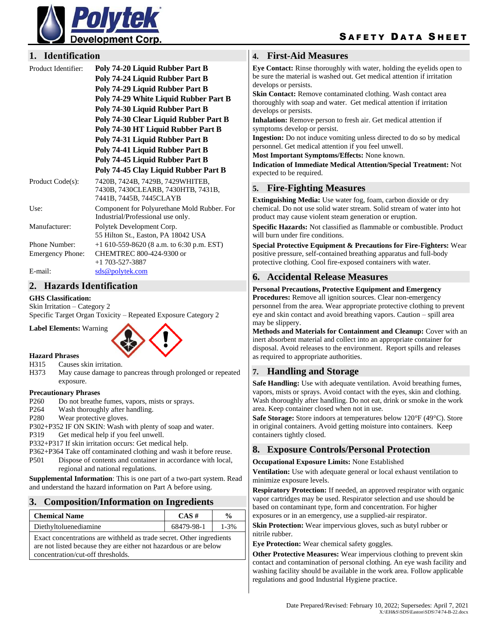

## **1. Identification**

| Product Identifier:     | Poly 74-20 Liquid Rubber Part B<br>Poly 74-24 Liquid Rubber Part B<br>Poly 74-29 Liquid Rubber Part B<br>Poly 74-29 White Liquid Rubber Part B<br>Poly 74-30 Liquid Rubber Part B<br>Poly 74-30 Clear Liquid Rubber Part B |  |
|-------------------------|----------------------------------------------------------------------------------------------------------------------------------------------------------------------------------------------------------------------------|--|
|                         | Poly 74-30 HT Liquid Rubber Part B                                                                                                                                                                                         |  |
|                         | Poly 74-31 Liquid Rubber Part B<br>Poly 74-41 Liquid Rubber Part B                                                                                                                                                         |  |
|                         | Poly 74-45 Liquid Rubber Part B                                                                                                                                                                                            |  |
|                         | Poly 74-45 Clay Liquid Rubber Part B                                                                                                                                                                                       |  |
| Product Code(s):        | 7420B, 7424B, 7429B, 7429WHITEB,<br>7430B, 7430CLEARB, 7430HTB, 7431B,<br>7441B, 7445B, 7445CLAYB                                                                                                                          |  |
| Use:                    | Component for Polyurethane Mold Rubber. For<br>Industrial/Professional use only.                                                                                                                                           |  |
| Manufacturer:           | Polytek Development Corp.<br>55 Hilton St., Easton, PA 18042 USA                                                                                                                                                           |  |
| Phone Number:           | $+1$ 610-559-8620 (8 a.m. to 6:30 p.m. EST)                                                                                                                                                                                |  |
| <b>Emergency Phone:</b> | CHEMTREC 800-424-9300 or<br>$+1$ 703-527-3887                                                                                                                                                                              |  |
| E-mail:                 | sds@polytek.com                                                                                                                                                                                                            |  |

## **2. Hazards Identification**

#### **GHS Classification:**

Skin Irritation – Category 2

Specific Target Organ Toxicity – Repeated Exposure Category 2



- **Hazard Phrases**
- H315 Causes skin irritation.
- H373 May cause damage to pancreas through prolonged or repeated exposure.

#### **Precautionary Phrases**

- P260 Do not breathe fumes, vapors, mists or sprays.
- P264 Wash thoroughly after handling.
- P280 Wear protective gloves.
- P302+P352 IF ON SKIN: Wash with plenty of soap and water.

P319 Get medical help if you feel unwell.

P332+P317 If skin irritation occurs: Get medical help.

P362+P364 Take off contaminated clothing and wash it before reuse.

P501 Dispose of contents and container in accordance with local, regional and national regulations.

**Supplemental Information**: This is one part of a two-part system. Read and understand the hazard information on Part A before using.

# **3. Composition/Information on Ingredients**

| <b>Chemical Name</b>                                                                                                                                                           | $CAS \#$   | $\frac{0}{0}$ |  |
|--------------------------------------------------------------------------------------------------------------------------------------------------------------------------------|------------|---------------|--|
| Diethyltoluenediamine                                                                                                                                                          | 68479-98-1 | $1 - 3\%$     |  |
| Exact concentrations are withheld as trade secret. Other ingredients<br>are not listed because they are either not hazardous or are below<br>concentration/cut-off thresholds. |            |               |  |

# **4. First-Aid Measures**

**Eye Contact:** Rinse thoroughly with water, holding the eyelids open to be sure the material is washed out. Get medical attention if irritation develops or persists.

**Skin Contact:** Remove contaminated clothing. Wash contact area thoroughly with soap and water. Get medical attention if irritation develops or persists.

**Inhalation:** Remove person to fresh air. Get medical attention if symptoms develop or persist.

**Ingestion:** Do not induce vomiting unless directed to do so by medical personnel. Get medical attention if you feel unwell.

**Most Important Symptoms/Effects:** None known.

**Indication of Immediate Medical Attention/Special Treatment:** Not expected to be required.

#### **5. Fire-Fighting Measures**

**Extinguishing Media:** Use water fog, foam, carbon dioxide or dry chemical. Do not use solid water stream. Solid stream of water into hot product may cause violent steam generation or eruption.

**Specific Hazards:** Not classified as flammable or combustible. Product will burn under fire conditions.

**Special Protective Equipment & Precautions for Fire-Fighters:** Wear positive pressure, self-contained breathing apparatus and full-body protective clothing. Cool fire-exposed containers with water.

#### **6. Accidental Release Measures**

#### **Personal Precautions, Protective Equipment and Emergency**

**Procedures:** Remove all ignition sources. Clear non-emergency personnel from the area. Wear appropriate protective clothing to prevent eye and skin contact and avoid breathing vapors. Caution – spill area may be slippery.

**Methods and Materials for Containment and Cleanup:** Cover with an inert absorbent material and collect into an appropriate container for disposal. Avoid releases to the environment. Report spills and releases as required to appropriate authorities.

## **7. Handling and Storage**

**Safe Handling:** Use with adequate ventilation. Avoid breathing fumes, vapors, mists or sprays. Avoid contact with the eyes, skin and clothing. Wash thoroughly after handling. Do not eat, drink or smoke in the work area. Keep container closed when not in use.

**Safe Storage:** Store indoors at temperatures below 120°F (49°C). Store in original containers. Avoid getting moisture into containers. Keep containers tightly closed.

## **8. Exposure Controls/Personal Protection**

#### **Occupational Exposure Limits:** None Established

**Ventilation:** Use with adequate general or local exhaust ventilation to minimize exposure levels.

**Respiratory Protection:** If needed, an approved respirator with organic vapor cartridges may be used. Respirator selection and use should be based on contaminant type, form and concentration. For higher exposures or in an emergency, use a supplied-air respirator.

**Skin Protection:** Wear impervious gloves, such as butyl rubber or nitrile rubber.

**Eye Protection:** Wear chemical safety goggles.

**Other Protective Measures:** Wear impervious clothing to prevent skin contact and contamination of personal clothing. An eye wash facility and washing facility should be available in the work area. Follow applicable regulations and good Industrial Hygiene practice.